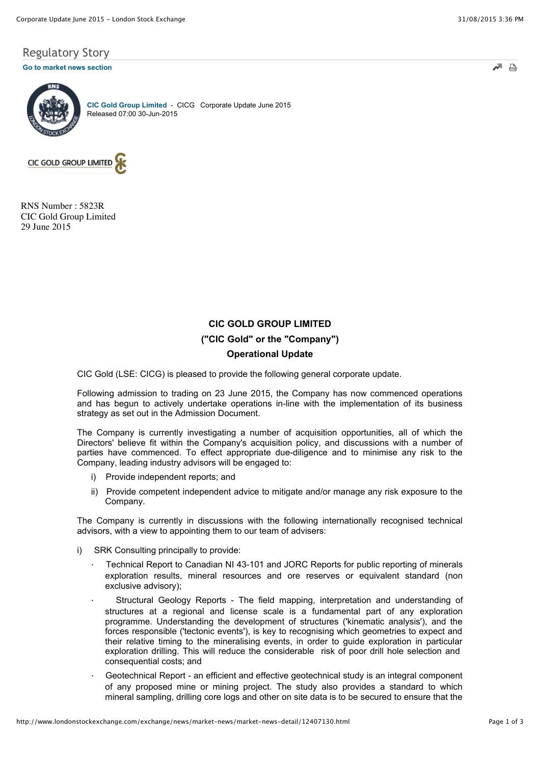## Regulatory Story

#### **[Go to market news section](javascript:%20sendto()**



**[CIC Gold Group Limited](http://www.londonstockexchange.com/exchange/prices-and-markets/stocks/summary/company-summary-via-tidm.html?tidm=CICG)** - CICG Corporate Update June 2015 Released 07:00 30-Jun-2015



RNS Number : 5823R CIC Gold Group Limited 29 June 2015

# **CIC GOLD GROUP LIMITED ("CIC Gold" or the "Company") Operational Update**

CIC Gold (LSE: CICG) is pleased to provide the following general corporate update.

Following admission to trading on 23 June 2015, the Company has now commenced operations and has begun to actively undertake operations in-line with the implementation of its business strategy as set out in the Admission Document.

The Company is currently investigating a number of acquisition opportunities, all of which the Directors' believe fit within the Company's acquisition policy, and discussions with a number of parties have commenced. To effect appropriate due-diligence and to minimise any risk to the Company, leading industry advisors will be engaged to:

- i) Provide independent reports; and
- ii) Provide competent independent advice to mitigate and/or manage any risk exposure to the Company.

The Company is currently in discussions with the following internationally recognised technical advisors, with a view to appointing them to our team of advisers:

- i) SRK Consulting principally to provide:
	- · Technical Report to Canadian NI 43-101 and JORC Reports for public reporting of minerals exploration results, mineral resources and ore reserves or equivalent standard (non exclusive advisory);
	- Structural Geology Reports The field mapping, interpretation and understanding of structures at a regional and license scale is a fundamental part of any exploration programme. Understanding the development of structures ('kinematic analysis'), and the forces responsible ('tectonic events'), is key to recognising which geometries to expect and their relative timing to the mineralising events, in order to guide exploration in particular exploration drilling. This will reduce the considerable risk of poor drill hole selection and consequential costs; and
	- Geotechnical Report an efficient and effective geotechnical study is an integral component of any proposed mine or mining project. The study also provides a standard to which mineral sampling, drilling core logs and other on site data is to be secured to ensure that the

 $\Rightarrow$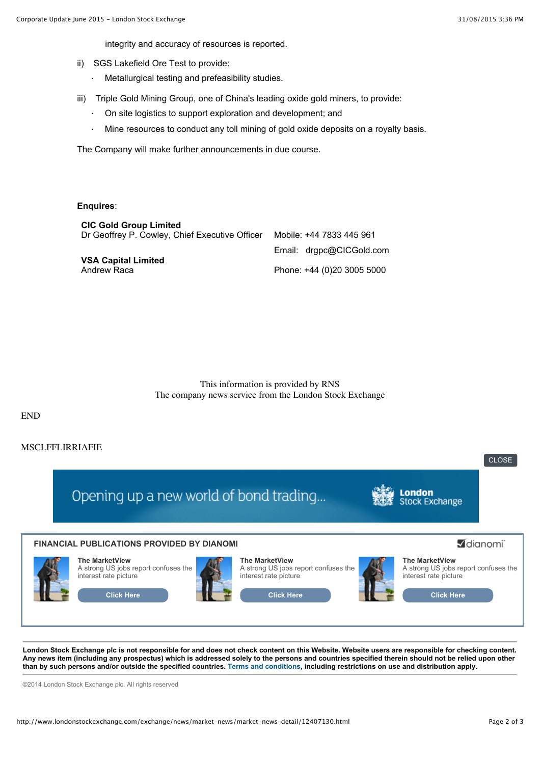integrity and accuracy of resources is reported.

- ii) SGS Lakefield Ore Test to provide:
	- · Metallurgical testing and prefeasibility studies.
- iii) Triple Gold Mining Group, one of China's leading oxide gold miners, to provide:
	- On site logistics to support exploration and development; and
	- · Mine resources to conduct any toll mining of gold oxide deposits on a royalty basis.

The Company will make further announcements in due course.

### **Enquires**:

| <b>CIC Gold Group Limited</b>                  |                            |
|------------------------------------------------|----------------------------|
| Dr Geoffrey P. Cowley, Chief Executive Officer | Mobile: +44 7833 445 961   |
|                                                | Email: drapc@CICGold.com   |
| <b>VSA Capital Limited</b>                     |                            |
| Andrew Raca                                    | Phone: +44 (0)20 3005 5000 |

This information is provided by RNS The company news service from the London Stock Exchange

END

### MSCLFFLIRRIAFIE



**London Stock Exchange plc is not responsible for and does not check content on this Website. Website users are responsible for checking content. Any news item (including any prospectus) which is addressed solely to the persons and countries specified therein should not be relied upon other than by such persons and/or outside the specified countries. [Terms and conditions,](javascript:%20var%20x=window.open() including restrictions on use and distribution apply.**

©2014 London Stock Exchange plc. All rights reserved